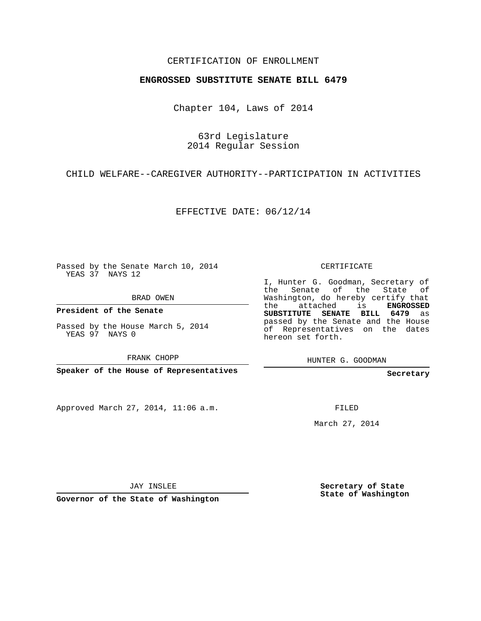## CERTIFICATION OF ENROLLMENT

## **ENGROSSED SUBSTITUTE SENATE BILL 6479**

Chapter 104, Laws of 2014

63rd Legislature 2014 Regular Session

CHILD WELFARE--CAREGIVER AUTHORITY--PARTICIPATION IN ACTIVITIES

EFFECTIVE DATE: 06/12/14

Passed by the Senate March 10, 2014 YEAS 37 NAYS 12

BRAD OWEN

**President of the Senate**

Passed by the House March 5, 2014 YEAS 97 NAYS 0

FRANK CHOPP

**Speaker of the House of Representatives**

Approved March 27, 2014, 11:06 a.m.

CERTIFICATE

I, Hunter G. Goodman, Secretary of the Senate of the State of Washington, do hereby certify that the attached is **ENGROSSED SUBSTITUTE SENATE BILL 6479** as passed by the Senate and the House of Representatives on the dates hereon set forth.

HUNTER G. GOODMAN

**Secretary**

FILED

March 27, 2014

JAY INSLEE

**Governor of the State of Washington**

**Secretary of State State of Washington**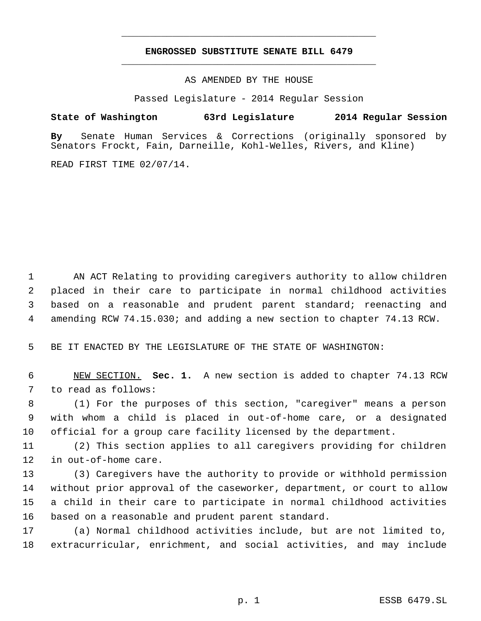## **ENGROSSED SUBSTITUTE SENATE BILL 6479** \_\_\_\_\_\_\_\_\_\_\_\_\_\_\_\_\_\_\_\_\_\_\_\_\_\_\_\_\_\_\_\_\_\_\_\_\_\_\_\_\_\_\_\_\_

\_\_\_\_\_\_\_\_\_\_\_\_\_\_\_\_\_\_\_\_\_\_\_\_\_\_\_\_\_\_\_\_\_\_\_\_\_\_\_\_\_\_\_\_\_

AS AMENDED BY THE HOUSE

Passed Legislature - 2014 Regular Session

## **State of Washington 63rd Legislature 2014 Regular Session**

**By** Senate Human Services & Corrections (originally sponsored by Senators Frockt, Fain, Darneille, Kohl-Welles, Rivers, and Kline)

READ FIRST TIME 02/07/14.

 AN ACT Relating to providing caregivers authority to allow children placed in their care to participate in normal childhood activities based on a reasonable and prudent parent standard; reenacting and amending RCW 74.15.030; and adding a new section to chapter 74.13 RCW.

BE IT ENACTED BY THE LEGISLATURE OF THE STATE OF WASHINGTON:

 NEW SECTION. **Sec. 1.** A new section is added to chapter 74.13 RCW to read as follows:

 (1) For the purposes of this section, "caregiver" means a person with whom a child is placed in out-of-home care, or a designated official for a group care facility licensed by the department.

 (2) This section applies to all caregivers providing for children in out-of-home care.

 (3) Caregivers have the authority to provide or withhold permission without prior approval of the caseworker, department, or court to allow a child in their care to participate in normal childhood activities based on a reasonable and prudent parent standard.

 (a) Normal childhood activities include, but are not limited to, extracurricular, enrichment, and social activities, and may include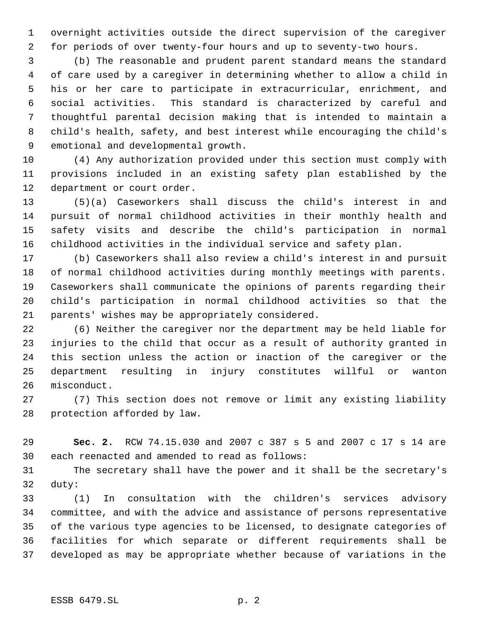overnight activities outside the direct supervision of the caregiver for periods of over twenty-four hours and up to seventy-two hours.

 (b) The reasonable and prudent parent standard means the standard of care used by a caregiver in determining whether to allow a child in his or her care to participate in extracurricular, enrichment, and social activities. This standard is characterized by careful and thoughtful parental decision making that is intended to maintain a child's health, safety, and best interest while encouraging the child's emotional and developmental growth.

 (4) Any authorization provided under this section must comply with provisions included in an existing safety plan established by the department or court order.

 (5)(a) Caseworkers shall discuss the child's interest in and pursuit of normal childhood activities in their monthly health and safety visits and describe the child's participation in normal childhood activities in the individual service and safety plan.

 (b) Caseworkers shall also review a child's interest in and pursuit of normal childhood activities during monthly meetings with parents. Caseworkers shall communicate the opinions of parents regarding their child's participation in normal childhood activities so that the parents' wishes may be appropriately considered.

 (6) Neither the caregiver nor the department may be held liable for injuries to the child that occur as a result of authority granted in this section unless the action or inaction of the caregiver or the department resulting in injury constitutes willful or wanton misconduct.

 (7) This section does not remove or limit any existing liability protection afforded by law.

 **Sec. 2.** RCW 74.15.030 and 2007 c 387 s 5 and 2007 c 17 s 14 are each reenacted and amended to read as follows:

 The secretary shall have the power and it shall be the secretary's duty:

 (1) In consultation with the children's services advisory committee, and with the advice and assistance of persons representative of the various type agencies to be licensed, to designate categories of facilities for which separate or different requirements shall be developed as may be appropriate whether because of variations in the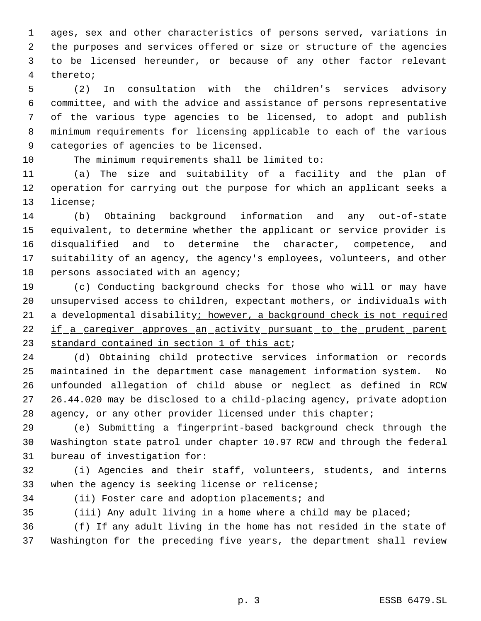ages, sex and other characteristics of persons served, variations in the purposes and services offered or size or structure of the agencies to be licensed hereunder, or because of any other factor relevant thereto;

 (2) In consultation with the children's services advisory committee, and with the advice and assistance of persons representative of the various type agencies to be licensed, to adopt and publish minimum requirements for licensing applicable to each of the various categories of agencies to be licensed.

The minimum requirements shall be limited to:

 (a) The size and suitability of a facility and the plan of operation for carrying out the purpose for which an applicant seeks a license;

 (b) Obtaining background information and any out-of-state equivalent, to determine whether the applicant or service provider is disqualified and to determine the character, competence, and suitability of an agency, the agency's employees, volunteers, and other 18 persons associated with an agency;

 (c) Conducting background checks for those who will or may have unsupervised access to children, expectant mothers, or individuals with a developmental disability; however, a background check is not required 22 if a caregiver approves an activity pursuant to the prudent parent 23 standard contained in section 1 of this act;

 (d) Obtaining child protective services information or records maintained in the department case management information system. No unfounded allegation of child abuse or neglect as defined in RCW 26.44.020 may be disclosed to a child-placing agency, private adoption 28 agency, or any other provider licensed under this chapter;

 (e) Submitting a fingerprint-based background check through the Washington state patrol under chapter 10.97 RCW and through the federal bureau of investigation for:

 (i) Agencies and their staff, volunteers, students, and interns when the agency is seeking license or relicense;

(ii) Foster care and adoption placements; and

(iii) Any adult living in a home where a child may be placed;

 (f) If any adult living in the home has not resided in the state of Washington for the preceding five years, the department shall review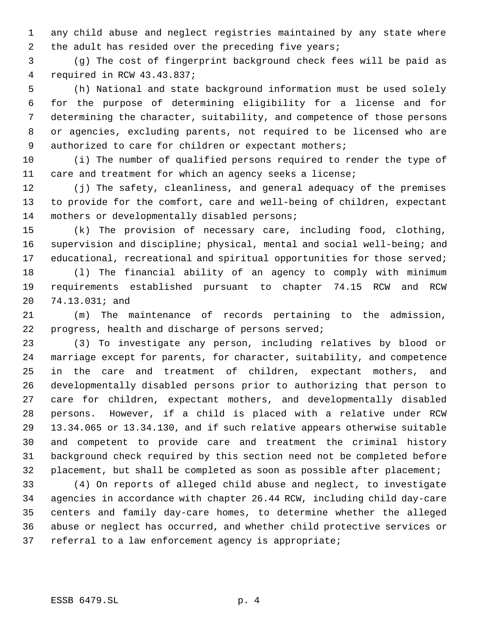any child abuse and neglect registries maintained by any state where 2 the adult has resided over the preceding five years;

 (g) The cost of fingerprint background check fees will be paid as required in RCW 43.43.837;

 (h) National and state background information must be used solely for the purpose of determining eligibility for a license and for determining the character, suitability, and competence of those persons or agencies, excluding parents, not required to be licensed who are 9 authorized to care for children or expectant mothers;

 (i) The number of qualified persons required to render the type of care and treatment for which an agency seeks a license;

 (j) The safety, cleanliness, and general adequacy of the premises to provide for the comfort, care and well-being of children, expectant mothers or developmentally disabled persons;

 (k) The provision of necessary care, including food, clothing, supervision and discipline; physical, mental and social well-being; and 17 educational, recreational and spiritual opportunities for those served;

 (l) The financial ability of an agency to comply with minimum requirements established pursuant to chapter 74.15 RCW and RCW 74.13.031; and

 (m) The maintenance of records pertaining to the admission, progress, health and discharge of persons served;

 (3) To investigate any person, including relatives by blood or marriage except for parents, for character, suitability, and competence in the care and treatment of children, expectant mothers, and developmentally disabled persons prior to authorizing that person to care for children, expectant mothers, and developmentally disabled persons. However, if a child is placed with a relative under RCW 13.34.065 or 13.34.130, and if such relative appears otherwise suitable and competent to provide care and treatment the criminal history background check required by this section need not be completed before placement, but shall be completed as soon as possible after placement;

 (4) On reports of alleged child abuse and neglect, to investigate agencies in accordance with chapter 26.44 RCW, including child day-care centers and family day-care homes, to determine whether the alleged abuse or neglect has occurred, and whether child protective services or referral to a law enforcement agency is appropriate;